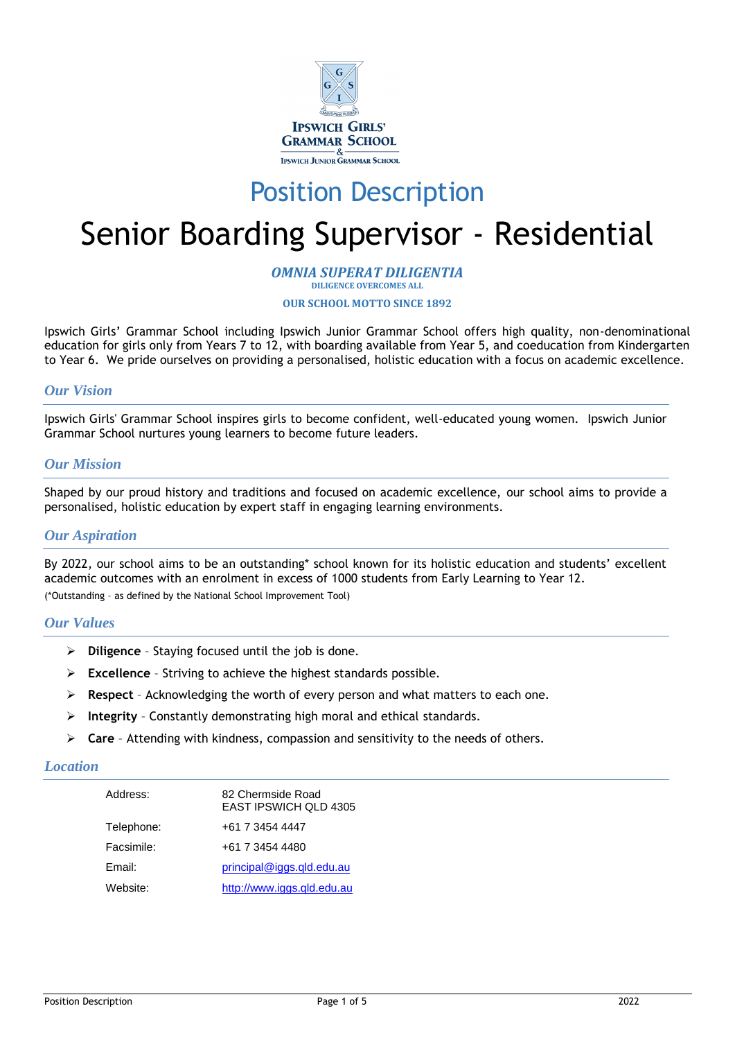

# Position Description

# Senior Boarding Supervisor - Residential

#### *OMNIA SUPERAT DILIGENTIA* **DILIGENCE OVERCOMES ALL**

#### **OUR SCHOOL MOTTO SINCE 1892**

Ipswich Girls' Grammar School including Ipswich Junior Grammar School offers high quality, non-denominational education for girls only from Years 7 to 12, with boarding available from Year 5, and coeducation from Kindergarten to Year 6. We pride ourselves on providing a personalised, holistic education with a focus on academic excellence.

# *Our Vision*

Ipswich Girls' Grammar School inspires girls to become confident, well-educated young women. Ipswich Junior Grammar School nurtures young learners to become future leaders.

#### *Our Mission*

Shaped by our proud history and traditions and focused on academic excellence, our school aims to provide a personalised, holistic education by expert staff in engaging learning environments.

### *Our Aspiration*

By 2022, our school aims to be an outstanding\* school known for its holistic education and students' excellent academic outcomes with an enrolment in excess of 1000 students from Early Learning to Year 12. (\*Outstanding – as defined by the National School Improvement Tool)

#### *Our Values*

- ➢ **Diligence**  Staying focused until the job is done.
- ➢ **Excellence** Striving to achieve the highest standards possible.
- ➢ **Respect**  Acknowledging the worth of every person and what matters to each one.
- ➢ **Integrity** Constantly demonstrating high moral and ethical standards.
- ➢ **Care** Attending with kindness, compassion and sensitivity to the needs of others.

#### *Location*

| Address:   | 82 Chermside Road<br><b>EAST IPSWICH QLD 4305</b> |
|------------|---------------------------------------------------|
| Telephone: | +61 7 3454 4447                                   |
| Facsimile: | +61 7 3454 4480                                   |
| Email:     | principal@iggs.gld.edu.au                         |
| Website:   | http://www.iggs.gld.edu.au                        |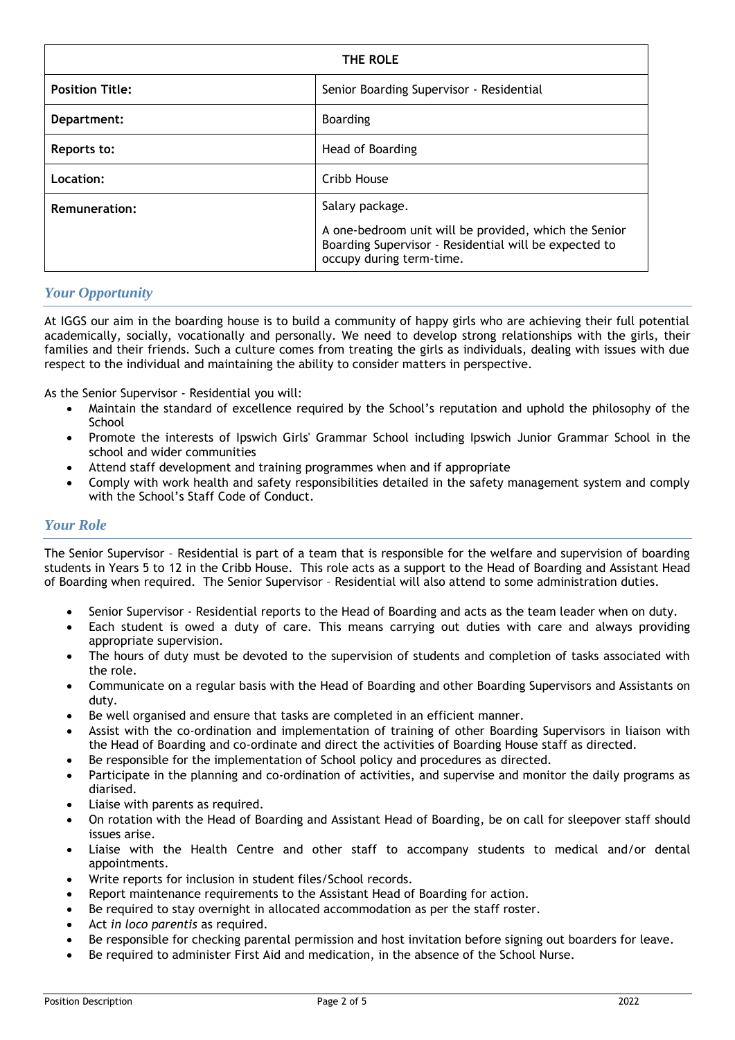| THE ROLE               |                                                                                                                                            |
|------------------------|--------------------------------------------------------------------------------------------------------------------------------------------|
| <b>Position Title:</b> | Senior Boarding Supervisor - Residential                                                                                                   |
| Department:            | <b>Boarding</b>                                                                                                                            |
| Reports to:            | Head of Boarding                                                                                                                           |
| Location:              | Cribb House                                                                                                                                |
| <b>Remuneration:</b>   | Salary package.                                                                                                                            |
|                        | A one-bedroom unit will be provided, which the Senior<br>Boarding Supervisor - Residential will be expected to<br>occupy during term-time. |

# *Your Opportunity*

At IGGS our aim in the boarding house is to build a community of happy girls who are achieving their full potential academically, socially, vocationally and personally. We need to develop strong relationships with the girls, their families and their friends. Such a culture comes from treating the girls as individuals, dealing with issues with due respect to the individual and maintaining the ability to consider matters in perspective.

As the Senior Supervisor - Residential you will:

- Maintain the standard of excellence required by the School's reputation and uphold the philosophy of the **School**
- Promote the interests of Ipswich Girls' Grammar School including Ipswich Junior Grammar School in the school and wider communities
- Attend staff development and training programmes when and if appropriate
- Comply with work health and safety responsibilities detailed in the safety management system and comply with the School's Staff Code of Conduct.

# *Your Role*

The Senior Supervisor – Residential is part of a team that is responsible for the welfare and supervision of boarding students in Years 5 to 12 in the Cribb House. This role acts as a support to the Head of Boarding and Assistant Head of Boarding when required. The Senior Supervisor – Residential will also attend to some administration duties.

- Senior Supervisor Residential reports to the Head of Boarding and acts as the team leader when on duty.
- Each student is owed a duty of care. This means carrying out duties with care and always providing appropriate supervision.
- The hours of duty must be devoted to the supervision of students and completion of tasks associated with the role.
- Communicate on a regular basis with the Head of Boarding and other Boarding Supervisors and Assistants on duty.
- Be well organised and ensure that tasks are completed in an efficient manner.
- Assist with the co-ordination and implementation of training of other Boarding Supervisors in liaison with the Head of Boarding and co-ordinate and direct the activities of Boarding House staff as directed.
- Be responsible for the implementation of School policy and procedures as directed.
- Participate in the planning and co-ordination of activities, and supervise and monitor the daily programs as diarised.
- Liaise with parents as required.
- On rotation with the Head of Boarding and Assistant Head of Boarding, be on call for sleepover staff should issues arise.
- Liaise with the Health Centre and other staff to accompany students to medical and/or dental appointments.
- Write reports for inclusion in student files/School records.
- Report maintenance requirements to the Assistant Head of Boarding for action.
- Be required to stay overnight in allocated accommodation as per the staff roster.
- Act *in loco parentis* as required.
- Be responsible for checking parental permission and host invitation before signing out boarders for leave.
- Be required to administer First Aid and medication, in the absence of the School Nurse.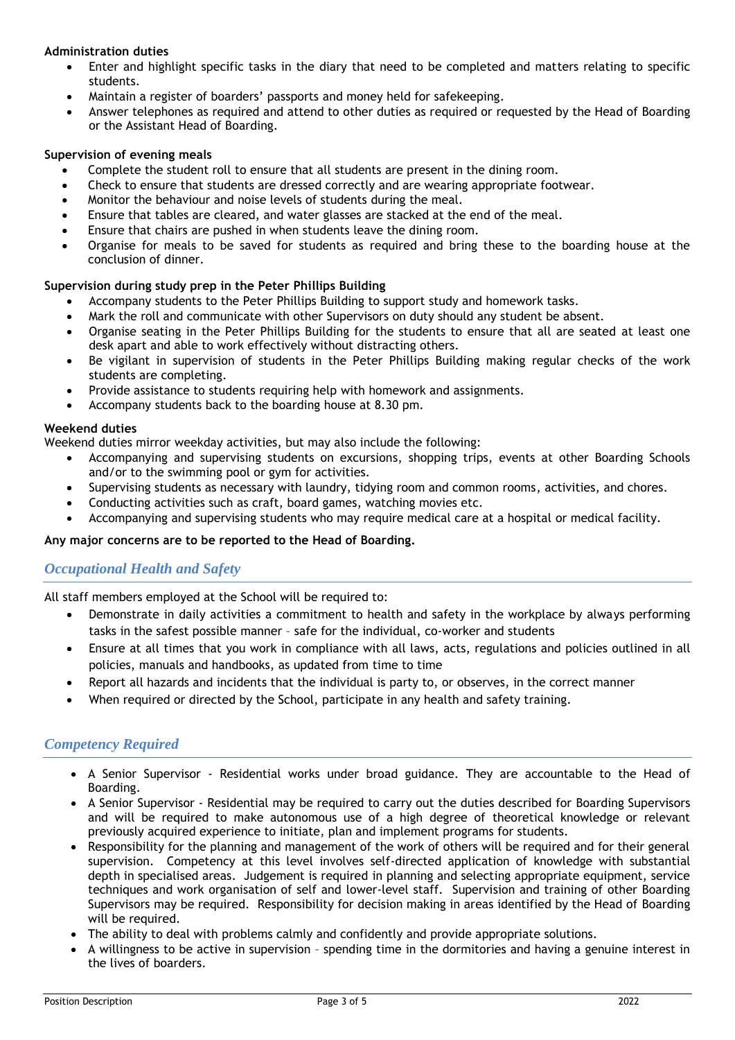### **Administration duties**

- Enter and highlight specific tasks in the diary that need to be completed and matters relating to specific students.
- Maintain a register of boarders' passports and money held for safekeeping.
- Answer telephones as required and attend to other duties as required or requested by the Head of Boarding or the Assistant Head of Boarding.

#### **Supervision of evening meals**

- Complete the student roll to ensure that all students are present in the dining room.
- Check to ensure that students are dressed correctly and are wearing appropriate footwear.
- Monitor the behaviour and noise levels of students during the meal.
- Ensure that tables are cleared, and water glasses are stacked at the end of the meal.
- Ensure that chairs are pushed in when students leave the dining room.
- Organise for meals to be saved for students as required and bring these to the boarding house at the conclusion of dinner.

#### **Supervision during study prep in the Peter Phillips Building**

- Accompany students to the Peter Phillips Building to support study and homework tasks.
- Mark the roll and communicate with other Supervisors on duty should any student be absent.
- Organise seating in the Peter Phillips Building for the students to ensure that all are seated at least one desk apart and able to work effectively without distracting others.
- Be vigilant in supervision of students in the Peter Phillips Building making regular checks of the work students are completing.
- Provide assistance to students requiring help with homework and assignments.
- Accompany students back to the boarding house at 8.30 pm.

#### **Weekend duties**

Weekend duties mirror weekday activities, but may also include the following:

- Accompanying and supervising students on excursions, shopping trips, events at other Boarding Schools and/or to the swimming pool or gym for activities.
- Supervising students as necessary with laundry, tidying room and common rooms, activities, and chores.
- Conducting activities such as craft, board games, watching movies etc.
- Accompanying and supervising students who may require medical care at a hospital or medical facility.

#### **Any major concerns are to be reported to the Head of Boarding.**

# *Occupational Health and Safety*

All staff members employed at the School will be required to:

- Demonstrate in daily activities a commitment to health and safety in the workplace by always performing tasks in the safest possible manner – safe for the individual, co-worker and students
- Ensure at all times that you work in compliance with all laws, acts, regulations and policies outlined in all policies, manuals and handbooks, as updated from time to time
- Report all hazards and incidents that the individual is party to, or observes, in the correct manner
- When required or directed by the School, participate in any health and safety training.

#### *Competency Required*

- A Senior Supervisor Residential works under broad guidance. They are accountable to the Head of Boarding.
- A Senior Supervisor Residential may be required to carry out the duties described for Boarding Supervisors and will be required to make autonomous use of a high degree of theoretical knowledge or relevant previously acquired experience to initiate, plan and implement programs for students.
- Responsibility for the planning and management of the work of others will be required and for their general supervision. Competency at this level involves self-directed application of knowledge with substantial depth in specialised areas. Judgement is required in planning and selecting appropriate equipment, service techniques and work organisation of self and lower-level staff. Supervision and training of other Boarding Supervisors may be required. Responsibility for decision making in areas identified by the Head of Boarding will be required.
- The ability to deal with problems calmly and confidently and provide appropriate solutions.
- A willingness to be active in supervision spending time in the dormitories and having a genuine interest in the lives of boarders.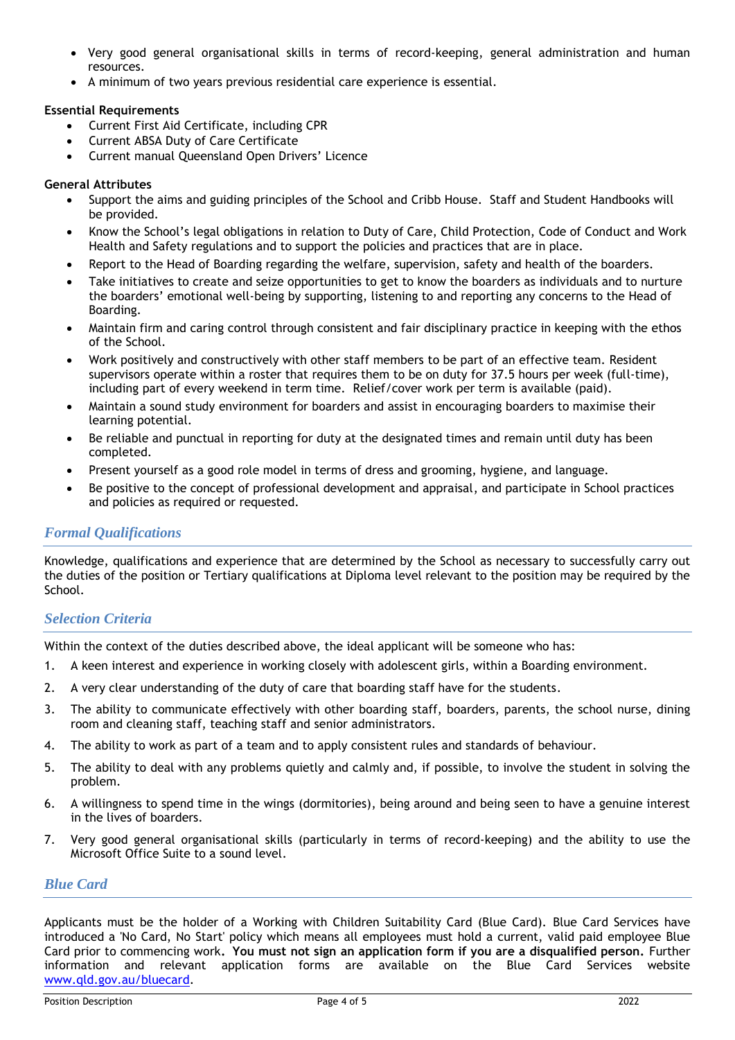- Very good general organisational skills in terms of record-keeping, general administration and human resources.
- A minimum of two years previous residential care experience is essential.

## **Essential Requirements**

- Current First Aid Certificate, including CPR
- Current ABSA Duty of Care Certificate
- Current manual Queensland Open Drivers' Licence

#### **General Attributes**

- Support the aims and guiding principles of the School and Cribb House. Staff and Student Handbooks will be provided.
- Know the School's legal obligations in relation to Duty of Care, Child Protection, Code of Conduct and Work Health and Safety regulations and to support the policies and practices that are in place.
- Report to the Head of Boarding regarding the welfare, supervision, safety and health of the boarders.
- Take initiatives to create and seize opportunities to get to know the boarders as individuals and to nurture the boarders' emotional well-being by supporting, listening to and reporting any concerns to the Head of Boarding.
- Maintain firm and caring control through consistent and fair disciplinary practice in keeping with the ethos of the School.
- Work positively and constructively with other staff members to be part of an effective team. Resident supervisors operate within a roster that requires them to be on duty for 37.5 hours per week (full-time), including part of every weekend in term time. Relief/cover work per term is available (paid).
- Maintain a sound study environment for boarders and assist in encouraging boarders to maximise their learning potential.
- Be reliable and punctual in reporting for duty at the designated times and remain until duty has been completed.
- Present yourself as a good role model in terms of dress and grooming, hygiene, and language.
- Be positive to the concept of professional development and appraisal, and participate in School practices and policies as required or requested.

# *Formal Qualifications*

Knowledge, qualifications and experience that are determined by the School as necessary to successfully carry out the duties of the position or Tertiary qualifications at Diploma level relevant to the position may be required by the School.

# *Selection Criteria*

Within the context of the duties described above, the ideal applicant will be someone who has:

- 1. A keen interest and experience in working closely with adolescent girls, within a Boarding environment.
- 2. A very clear understanding of the duty of care that boarding staff have for the students.
- 3. The ability to communicate effectively with other boarding staff, boarders, parents, the school nurse, dining room and cleaning staff, teaching staff and senior administrators.
- 4. The ability to work as part of a team and to apply consistent rules and standards of behaviour.
- 5. The ability to deal with any problems quietly and calmly and, if possible, to involve the student in solving the problem.
- 6. A willingness to spend time in the wings (dormitories), being around and being seen to have a genuine interest in the lives of boarders.
- 7. Very good general organisational skills (particularly in terms of record-keeping) and the ability to use the Microsoft Office Suite to a sound level.

## *Blue Card*

Applicants must be the holder of a Working with Children Suitability Card (Blue Card). Blue Card Services have introduced a 'No Card, No Start' policy which means all employees must hold a current, valid paid employee Blue Card prior to commencing work**. You must not sign an application form if you are a disqualified person.** Further information and relevant application forms are available on the Blue Card Services website [www.qld.gov.au/bluecard.](http://www.qld.gov.au/bluecard)